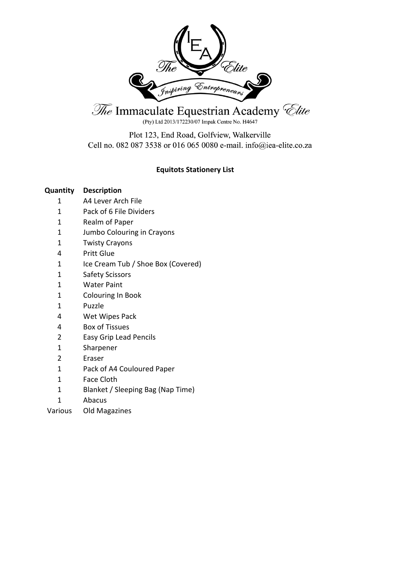

The Immaculate Equestrian Academy *Clite* 

(Pty) Ltd 2013/172230/07 Impak Centre No. H4647

Plot 123, End Road, Golfview, Walkerville Cell no. 082 087 3538 or 016 065 0080 e-mail. info@iea-elite.co.za

# **Equitots Stationery List**

- A4 Lever Arch File
- Pack of 6 File Dividers
- Realm of Paper
- Jumbo Colouring in Crayons
- Twisty Crayons
- Pritt Glue
- 1 Ice Cream Tub / Shoe Box (Covered)
- Safety Scissors
- Water Paint
- Colouring In Book
- Puzzle
- Wet Wipes Pack
- Box of Tissues
- Easy Grip Lead Pencils
- Sharpener
- Eraser
- Pack of A4 Couloured Paper
- Face Cloth
- Blanket / Sleeping Bag (Nap Time)
- Abacus
- Various Old Magazines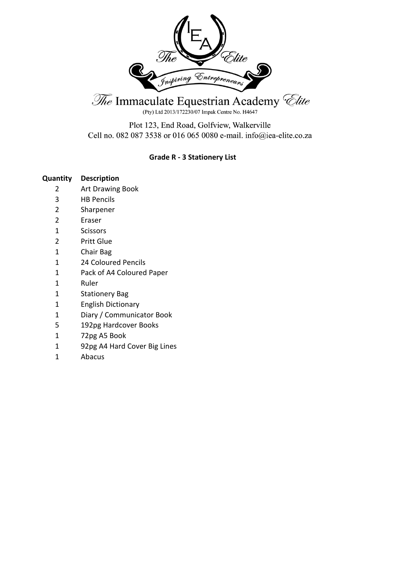

(Pty) Ltd 2013/172230/07 Impak Centre No. H4647

Plot 123, End Road, Golfview, Walkerville Cell no. 082 087 3538 or 016 065 0080 e-mail. info@iea-elite.co.za

## **Grade R - 3 Stationery List**

- Art Drawing Book
- HB Pencils
- Sharpener
- Eraser
- Scissors
- Pritt Glue
- Chair Bag
- 24 Coloured Pencils
- Pack of A4 Coloured Paper
- Ruler
- Stationery Bag
- English Dictionary
- Diary / Communicator Book
- 192pg Hardcover Books
- 72pg A5 Book
- 92pg A4 Hard Cover Big Lines
- Abacus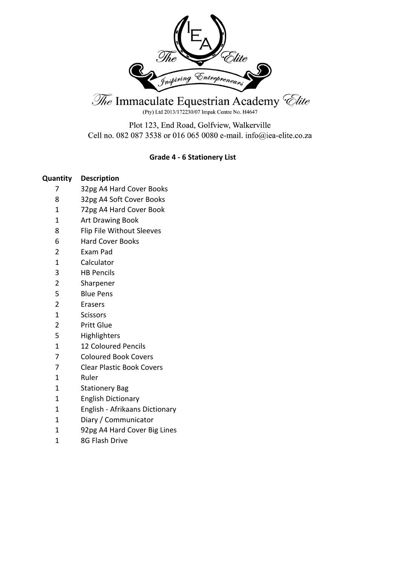

(Pty) Ltd 2013/172230/07 Impak Centre No. H4647

Plot 123, End Road, Golfview, Walkerville Cell no. 082 087 3538 or 016 065 0080 e-mail. info@iea-elite.co.za

## **Grade 4 - 6 Stationery List**

- 32pg A4 Hard Cover Books
- 32pg A4 Soft Cover Books
- 72pg A4 Hard Cover Book
- Art Drawing Book
- Flip File Without Sleeves
- Hard Cover Books
- Exam Pad
- Calculator
- HB Pencils
- Sharpener
- Blue Pens
- Erasers
- Scissors
- Pritt Glue
- Highlighters
- 12 Coloured Pencils
- Coloured Book Covers
- Clear Plastic Book Covers
- Ruler
- Stationery Bag
- English Dictionary
- English Afrikaans Dictionary
- Diary / Communicator
- 92pg A4 Hard Cover Big Lines
- 8G Flash Drive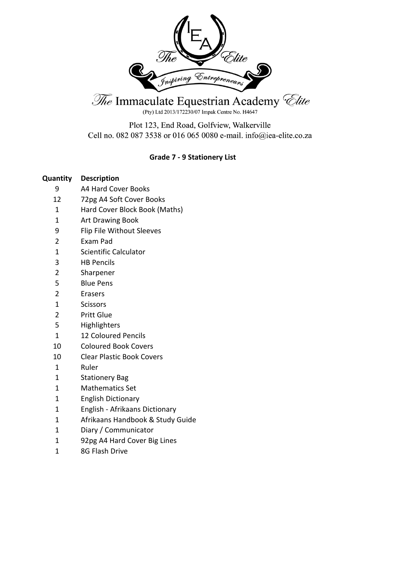

(Pty) Ltd 2013/172230/07 Impak Centre No. H4647

Plot 123, End Road, Golfview, Walkerville Cell no. 082 087 3538 or 016 065 0080 e-mail. info@iea-elite.co.za

## **Grade 7 - 9 Stationery List**

- A4 Hard Cover Books
- 72pg A4 Soft Cover Books
- Hard Cover Block Book (Maths)
- Art Drawing Book
- Flip File Without Sleeves
- Exam Pad
- Scientific Calculator
- HB Pencils
- Sharpener
- Blue Pens
- Erasers
- Scissors
- Pritt Glue
- Highlighters
- 12 Coloured Pencils
- Coloured Book Covers
- Clear Plastic Book Covers
- Ruler
- Stationery Bag
- Mathematics Set
- English Dictionary
- English Afrikaans Dictionary
- Afrikaans Handbook & Study Guide
- Diary / Communicator
- 92pg A4 Hard Cover Big Lines
- 8G Flash Drive